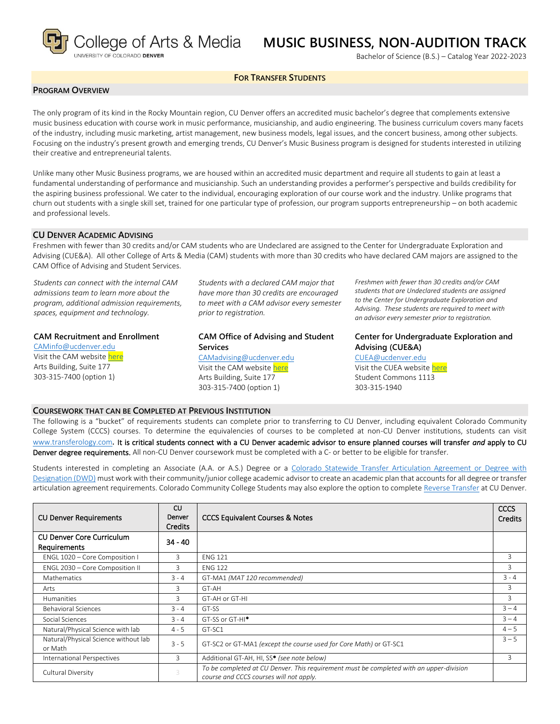

# **MUSIC BUSINESS, NON-AUDITION TRACK**

Bachelor of Science (B.S.) – Catalog Year 2022-2023

### **FOR TRANSFER STUDENTS**

### **PROGRAM OVERVIEW**

The only program of its kind in the Rocky Mountain region, CU Denver offers an accredited music bachelor's degree that complements extensive music business education with course work in music performance, musicianship, and audio engineering. The business curriculum covers many facets of the industry, including music marketing, artist management, new business models, legal issues, and the concert business, among other subjects. Focusing on the industry's present growth and emerging trends, CU Denver's Music Business program is designed for students interested in utilizing their creative and entrepreneurial talents.

Unlike many other Music Business programs, we are housed within an accredited music department and require all students to gain at least a fundamental understanding of performance and musicianship. Such an understanding provides a performer's perspective and builds credibility for the aspiring business professional. We cater to the individual, encouraging exploration of our course work and the industry. Unlike programs that churn out students with a single skill set, trained for one particular type of profession, our program supports entrepreneurship – on both academic and professional levels.

#### **CU DENVER ACADEMIC ADVISING**

Freshmen with fewer than 30 credits and/or CAM students who are Undeclared are assigned to the Center for Undergraduate Exploration and Advising (CUE&A). All other College of Arts & Media (CAM) students with more than 30 credits who have declared CAM majors are assigned to the CAM Office of Advising and Student Services.

*Students can connect with the internal CAM admissions team to learn more about the program, additional admission requirements, spaces, equipment and technology.*

# **CAM Recruitment and Enrollment**

[CAMinfo@ucdenver.edu](mailto:CAMinfo@ucdenver.edu) Visit the CAM websit[e here](https://artsandmedia.ucdenver.edu/prospective-students/prospective-students) Arts Building, Suite 177 303-315-7400 (option 1)

*Students with a declared CAM major that have more than 30 credits are encouraged to meet with a CAM advisor every semester prior to registration.*

**CAM Office of Advising and Student Services** [CAMadvising@ucdenver.edu](mailto:CAMadvising@ucdenver.edu) Visit the CAM websit[e here](https://artsandmedia.ucdenver.edu/current-students/about-academic-advising) Arts Building, Suite 177 303-315-7400 (option 1)

*Freshmen with fewer than 30 credits and/or CAM students that are Undeclared students are assigned to the Center for Undergraduate Exploration and Advising. These students are required to meet with an advisor every semester prior to registration.*

**Center for Undergraduate Exploration and Advising (CUE&A)** [CUEA@ucdenver.edu](mailto:CUEA@ucdenver.edu) Visit the CUEA websit[e here](https://www.ucdenver.edu/center-for-undergraduate-exploration-and-advising) Student Commons 1113

303-315-1940

### **COURSEWORK THAT CAN BE COMPLETED AT PREVIOUS INSTITUTION**

The following is a "bucket" of requirements students can complete prior to transferring to CU Denver, including equivalent Colorado Community College System (CCCS) courses. To determine the equivalencies of courses to be completed at non-CU Denver institutions, students can visit [www.transferology.com](http://www.transferology.com/)**.** It is critical students connect with a CU Denver academic advisor to ensure planned courses will transfer *and* apply to CU Denver degree requirements. All non-CU Denver coursework must be completed with a C- or better to be eligible for transfer.

Students interested in completing an Associate (A.A. or A.S.) Degree or a [Colorado Statewide Transfer Articulation Agreement or Degree with](https://highered.colorado.gov/Academics/Transfers/TransferDegrees.html)  [Designation \(DWD\)](https://highered.colorado.gov/Academics/Transfers/TransferDegrees.html) must work with their community/junior college academic advisor to create an academic plan that accounts for all degree or transfer articulation agreement requirements. Colorado Community College Students may also explore the option to complet[e Reverse Transfer](https://degreewithinreach.wordpress.com/) at CU Denver.

| <b>CU Denver Requirements</b>                    | CU.<br>Denver<br><b>Credits</b> | <b>CCCS Equivalent Courses &amp; Notes</b>                                                                                         | <b>CCCS</b><br>Credits |
|--------------------------------------------------|---------------------------------|------------------------------------------------------------------------------------------------------------------------------------|------------------------|
| <b>CU Denver Core Curriculum</b><br>Requirements | $34 - 40$                       |                                                                                                                                    |                        |
| ENGL 1020 - Core Composition I                   | 3                               | <b>ENG 121</b>                                                                                                                     | 3                      |
| ENGL 2030 - Core Composition II                  | 3                               | <b>ENG 122</b>                                                                                                                     | 3                      |
| <b>Mathematics</b>                               | $3 - 4$                         | GT-MA1 (MAT 120 recommended)                                                                                                       |                        |
| Arts                                             | 3                               | GT-AH                                                                                                                              | 3                      |
| Humanities                                       | 3                               | GT-AH or GT-HI                                                                                                                     | 3                      |
| <b>Behavioral Sciences</b>                       | $3 - 4$                         | GT-SS                                                                                                                              | $3 - 4$                |
| Social Sciences                                  | $3 - 4$                         | GT-SS or GT-HI <sup>*</sup>                                                                                                        | $3 - 4$                |
| Natural/Physical Science with lab                | $4 - 5$                         | GT-SC1                                                                                                                             | $4 - 5$                |
| Natural/Physical Science without lab<br>or Math  | $3 - 5$                         | GT-SC2 or GT-MA1 (except the course used for Core Math) or GT-SC1                                                                  | $3 - 5$                |
| International Perspectives                       | 3                               | Additional GT-AH, HI, SS* (see note below)                                                                                         | $\mathbf{R}$           |
| Cultural Diversity                               | 3                               | To be completed at CU Denver. This requirement must be completed with an upper-division<br>course and CCCS courses will not apply. |                        |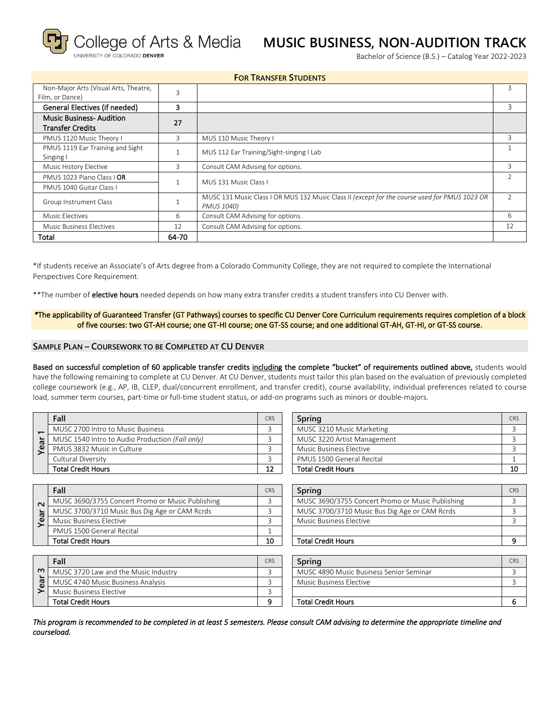### **RSITY OF COLORADO DENVER**

# **MUSIC BUSINESS, NON-AUDITION TRACK**

Bachelor of Science (B.S.) – Catalog Year 2022-2023

| <b>FOR TRANSFER STUDENTS</b>                                                        |                                        |                                                                                                             |   |  |  |  |
|-------------------------------------------------------------------------------------|----------------------------------------|-------------------------------------------------------------------------------------------------------------|---|--|--|--|
| Non-Major Arts (Visual Arts, Theatre,<br>$\overline{\mathbf{3}}$<br>Film, or Dance) |                                        |                                                                                                             | З |  |  |  |
| General Electives (if needed)<br>3                                                  |                                        |                                                                                                             | 3 |  |  |  |
| <b>Music Business-Audition</b><br><b>Transfer Credits</b>                           | 27                                     |                                                                                                             |   |  |  |  |
| PMUS 1120 Music Theory I                                                            | 3                                      | MUS 110 Music Theory I                                                                                      | 3 |  |  |  |
| PMUS 1119 Ear Training and Sight<br>Singing I                                       |                                        | MUS 112 Ear Training/Sight-singing I Lab                                                                    |   |  |  |  |
| Music History Elective                                                              | 3<br>Consult CAM Advising for options. |                                                                                                             | 3 |  |  |  |
| PMUS 1023 Piano Class   OR                                                          |                                        | MUS 131 Music Class L                                                                                       |   |  |  |  |
| PMUS 1040 Guitar Class L                                                            |                                        |                                                                                                             |   |  |  |  |
| Group Instrument Class                                                              |                                        | MUSC 131 Music Class I OR MUS 132 Music Class II (except for the course used for PMUS 1023 OR<br>PMUS 1040) |   |  |  |  |
| Music Electives<br>6                                                                |                                        | Consult CAM Advising for options.                                                                           |   |  |  |  |
| Music Business Electives                                                            | 12                                     | Consult CAM Advising for options.                                                                           |   |  |  |  |
| Total                                                                               | 64-70                                  |                                                                                                             |   |  |  |  |

\*If students receive an Associate's of Arts degree from a Colorado Community College, they are not required to complete the International Perspectives Core Requirement.

\*\*The number of **elective hours** needed depends on how many extra transfer credits a student transfers into CU Denver with.

### *\**The applicability of Guaranteed Transfer (GT Pathways) courses to specific CU Denver Core Curriculum requirements requires completion of a block of five courses: two GT-AH course; one GT-HI course; one GT-SS course; and one additional GT-AH, GT-HI, or GT-SS course.

### **SAMPLE PLAN – COURSEWORK TO BE COMPLETED AT CU DENVER**

Based on successful completion of 60 applicable transfer credits including the complete "bucket" of requirements outlined above, students would have the following remaining to complete at CU Denver. At CU Denver, students must tailor this plan based on the evaluation of previously completed college coursework (e.g., AP, IB, CLEP, dual/concurrent enrollment, and transfer credit), course availability, individual preferences related to course load, summer term courses, part-time or full-time student status, or add-on programs such as minors or double-majors.

|    | Fall                                            |  |  |  |
|----|-------------------------------------------------|--|--|--|
|    | MUSC 2700 Intro to Music Business               |  |  |  |
| ar | MUSC 1540 Intro to Audio Production (Fall only) |  |  |  |
|    | PMUS 3832 Music in Culture                      |  |  |  |
|    | Cultural Diversity                              |  |  |  |
|    | <b>Total Credit Hours</b>                       |  |  |  |

| ↽<br>Year | MUSC 1540 Intro to Audio Production (Fall only)  |            |                                                  |                |
|-----------|--------------------------------------------------|------------|--------------------------------------------------|----------------|
|           |                                                  | 3          | MUSC 3220 Artist Management                      | 3              |
|           | PMUS 3832 Music in Culture                       | 3          | Music Business Elective                          | 3              |
|           | Cultural Diversity                               | 3          | PMUS 1500 General Recital                        | $\mathbf{1}$   |
|           | <b>Total Credit Hours</b>                        | 12         | <b>Total Credit Hours</b>                        | 10             |
|           |                                                  |            |                                                  |                |
|           | Fall                                             | <b>CRS</b> | Spring                                           | CRS            |
| $\sim$    | MUSC 3690/3755 Concert Promo or Music Publishing | 3          | MUSC 3690/3755 Concert Promo or Music Publishing | 3              |
|           | MUSC 3700/3710 Music Bus Dig Age or CAM Rcrds    | 3          | MUSC 3700/3710 Music Bus Dig Age or CAM Rcrds    | 3              |
| Year      | <b>Music Business Elective</b>                   | 3          | <b>Music Business Elective</b>                   | 3              |
|           | PMUS 1500 General Recital                        |            |                                                  |                |
|           | <b>Total Credit Hours</b>                        | 10         | <b>Total Credit Hours</b>                        | 9              |
|           |                                                  |            |                                                  |                |
|           | Fall                                             | <b>CRS</b> | Spring                                           | CRS            |
| $\sim$    | MUSC 3720 Law and the Music Industry             | 3          | MUSC 4890 Music Business Senior Seminar          | 3              |
| Yea       | MUSC 4740 Music Business Analysis                | 3          | <b>Music Business Elective</b>                   | $\overline{3}$ |
|           | Music Business Elective                          | 3          |                                                  |                |
|           | <b>Total Credit Hours</b>                        | 9          | <b>Total Credit Hours</b>                        | 6              |

| Fall                                            | <b>CRS</b> | Spring                      | <b>CRS</b> |
|-------------------------------------------------|------------|-----------------------------|------------|
| MUSC 2700 Intro to Music Business               |            | MUSC 3210 Music Marketing   |            |
| MUSC 1540 Intro to Audio Production (Fall only) |            | MUSC 3220 Artist Management |            |
| PMUS 3832 Music in Culture                      |            | Music Business Elective     |            |
| Cultural Diversity                              |            | PMUS 1500 General Recital   |            |
| Total Credit Hours                              | 12         | <b>Total Credit Hours</b>   | 10         |
|                                                 |            |                             |            |

| Fall                                             | <b>CRS</b> | <b>Spring</b>                                    | <b>CRS</b> |
|--------------------------------------------------|------------|--------------------------------------------------|------------|
| MUSC 3690/3755 Concert Promo or Music Publishing |            | MUSC 3690/3755 Concert Promo or Music Publishing |            |
| MUSC 3700/3710 Music Bus Dig Age or CAM Rcrds    |            | MUSC 3700/3710 Music Bus Dig Age or CAM Rcrds    |            |
| Music Business Elective                          |            | Music Business Elective                          |            |
| PMUS 1500 General Recital                        |            |                                                  |            |
| Total Credit Hours                               | 10         | <b>Total Credit Hours</b>                        |            |

|        | Fall                                 | CRS | Sprina                                  | <b>CRS</b> |
|--------|--------------------------------------|-----|-----------------------------------------|------------|
| $\sim$ | MUSC 3720 Law and the Music Industry |     | MUSC 4890 Music Business Senior Seminar |            |
| සි     | MUSC 4740 Music Business Analysis    |     | Music Business Elective                 |            |
|        | Music Business Elective              |     |                                         |            |
|        | <b>Total Credit Hours</b>            |     | <b>Total Credit Hours</b>               |            |

| Fall                                 | CRS      | Sprina                                  | CRS |
|--------------------------------------|----------|-----------------------------------------|-----|
| MUSC 3720 Law and the Music Industry |          | MUSC 4890 Music Business Senior Seminar |     |
| MUSC 4740 Music Business Analysis    |          | Music Business Elective                 |     |
| Music Business Elective              |          |                                         |     |
| Total Credit Hours                   | $\Omega$ | <b>Total Credit Hours</b>               |     |